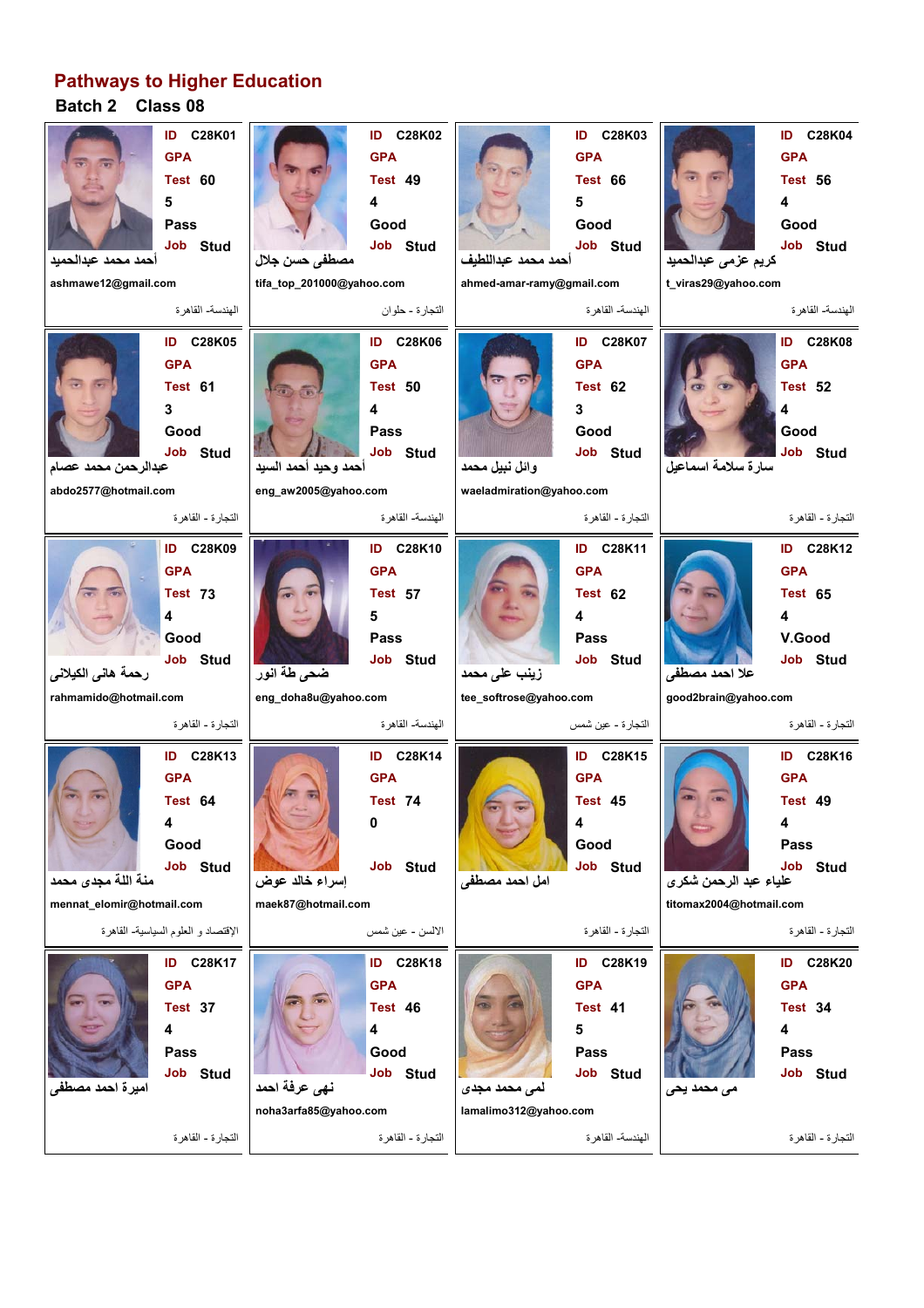## **Batch 2 Class 08 Pathways to Higher Education**